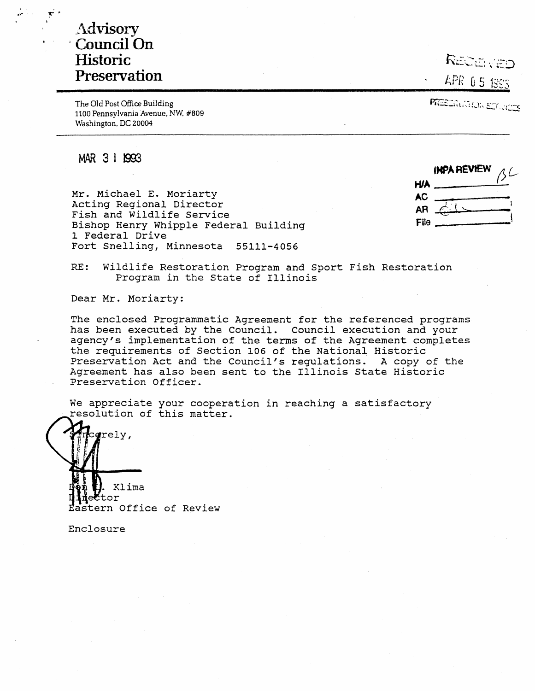# .Advisory , **Council On Historic Preservation**

The Old Post Office Building 1100 Pennsylvania Avenue, NW. #809 Washington. DC 20004

RECEIVED

LPR 05 1885

PRESERVATOR SETUDOS

**MAR 3** I 1993

Mr. Michael E. Moriarty Acting Regional Director Fish and Wildlife Service Bishop Henry Whipple Federal Building 1 Federal Drive Fort Snelling, Minnesota 55111-4056

|           | INPA REVIEW |  |
|-----------|-------------|--|
| HJA.      |             |  |
| <b>AC</b> |             |  |
| AR        | $\subset$   |  |
| File      |             |  |

RE: Wildlife Restoration Program and Sport Fish Restoration Program in the State of Illinois

Dear Mr. Moriarty:

The enclosed Programmatic Agreement for the referenced programs has been executed by the Council. Council execution and your agency's implementation of the terms of the Agreement completes the requirements of Section 106 of the National Historic Preservation Act and the Council's regulations. A copy of the Agreement has also been sent to the Illinois State Historic Preservation Officer.

We appreciate your cooperation in reaching a satisfactory resolution of this matter.



Enclosure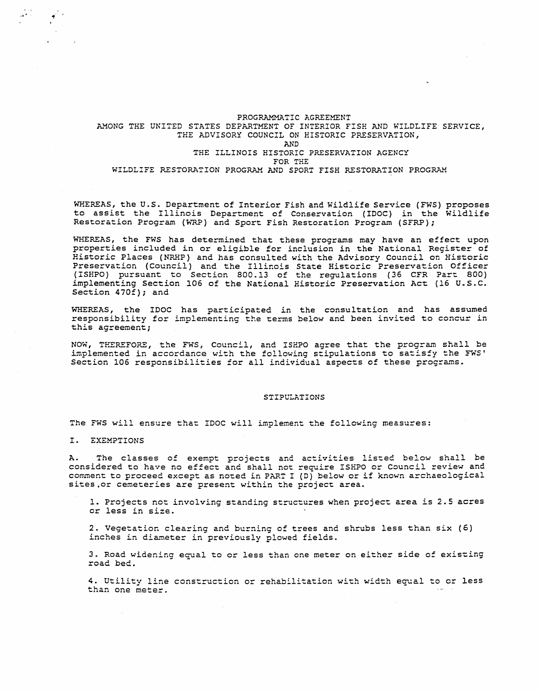# PROGRAMMATIC AGREEMENT AMONG THE UNITED STATES DEPARTMENT OF INTERIOR FISH AND WILDLIFE SERVICE,

# THE ADVISORY COUNCIL ON HISTORIC PRESERVATION,

## AND THE ILLINOIS HISTORIC PRESERVATION AGENCY FOR THE WILDLIFE RESTORATION PROGRAM AND SPORT FISH RESTORATION PROGRAM

WHEREAS, the U.S. Department of Interior Fish and Wildlife Service ( FWS) proposes to assist the Illinois Department of Conservation (IDOC) in the Wildlife Restoration Program (WRP) and Sport Fish Restoration Program (SFRP);

WHEREAS, the FWS has determined that these programs may have an effect upon properties included in or eligible for inclusion in the National Register of Historic Places (NRHP) and has consulted with the Advisory Council on Historic Preservation (Council) and the Illinois State Historic Preservation Officer (ISHPO) pursuant to Section 800.13 of the regulations (36 CFR Part 800) implementing Section 106 of the National Historic Preservation Act (16 u.s.c. Section 470f); and

WHEREAS, the IDOC has participated in the consultation and has assumed responsibility for implementing the terms below and been invited to concur in this agreement;

NOW, THEREFORE, the FWS, Council, and ISHPO agree that the program shall be implemented in accordance with the following stipulations to satisfy the FWS' Section 106 responsibilities for all individual aspects of these programs.

#### STIPULATIONS

The FWS will ensure that IDOC will implement the following measures:

I. EXEMPTIONS

 $\frac{1}{2}$  and  $\frac{1}{2}$  .

A. The classes of exempt projects and activities listed below shall be considered to have no effect and shall not require ISEPO or Council review and comment to proceed except as noted in PART I (D) below or if known archaeological sites.or cemeteries are present within the project area.

1. Projects not involving standing structures when project area is 2.5 acres or less in size.

2. Vegetation clearing and burning of trees and shrubs less than six (6) inches in diameter in previously plowed fields.

3. Road widening equal to or less than one meter on either side of existing road bed.

4. Utility line construction or rehabilitation with width equal to or less than one meter.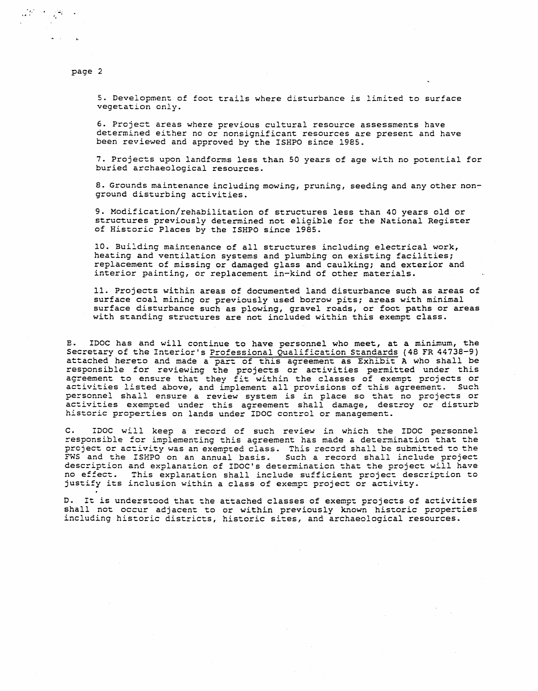5. Development of foot trails where disturbance is limited to surface vegetation only.

6. Project areas where previous cultural resource assessments have determined either no or nonsignificant resources are present and have been reviewed and approved by the ISHPO since 1985.

7. Projects upon landforms less than 50 years of age with no potential for buried archaeological resources.

8. Grounds maintenance including mowing, pruning, seeding and any other nonground disturbing activities.

9. Modification/rehabilitation of structures less than 40 years old or structures previously determined not eligible for the National Register of Historic Places by the ISHPO since 1985.

10. Building maintenance of all structures including electrical work, heating and ventilation systems and plumbing on existing facilities; replacement of missing or damaged glass and caulking; and exterior and interior painting, or replacement in-kind of other materials.

11. Projects within areas of documented land disturbance such as areas of surface coal mining or previously used borrow pits; areas with minimal surface disturbance such as plowing, gravel roads, or foot paths or areas with standing structures are not included within this exempt class.

E. IDOC has and will continue to have personnel who meet, at a minimum, the Secretary of the Interior's Professional Qualification Standards (48 FR 44738-9) attached hereto and made a part of this agreement as Exhibit A who shall be responsible for reviewing the projects or activities permitted under this agreement to ensure that they fit within the classes of exempt projects or activities listed above, and implement all provisions of this agreement. Such personnel shall ensure a review system is in place so that no projects or activities exempted under this agreement shall damage, destroy or· disturb historic properties on lands under IDOC control or management.

C. IDOC will keep a record of such review in which the IDOC personnel responsible for implementing this agreement has made a determination that the project or activity was an exempted class. This record shall be submitted to the FWS and the ISHPO on an annual basis. Such a record shall include project description and explanation of IDOC's determination that the project will have no effect. This explanation shall include sufficient project description to justify its inclusion within a class of exempt project or activity.

D. It is understood that the attached classes of exempt projects of activities shall not occur adjacent to or within previously known historic properties including historic districts, historic sites, and archaeological resources.

page 2

 $\mathcal{L}^{(1)} \rightarrow \mathcal{L}^{(2)}$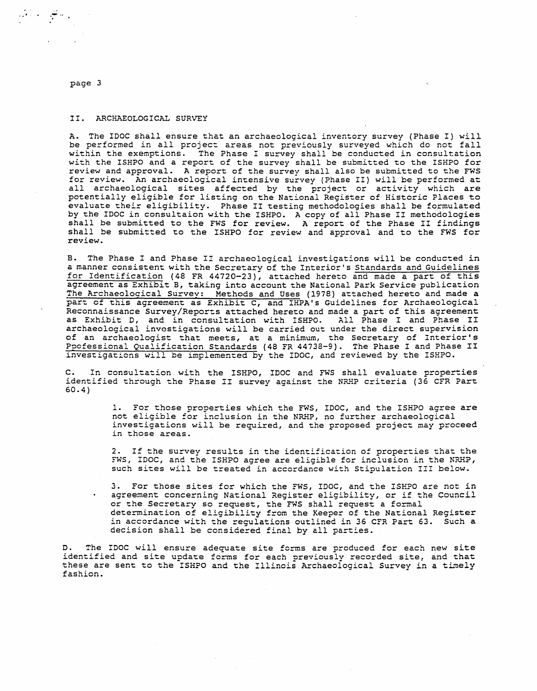.. تنا

## II. ARCHAEOLOGICAL SURVEY

A. The IDOC shall ensure that an archaeological inventory survey (Phase I) will be performed in all project areas not previously surveyed which do not fall within the exemptions. The Phase I survey shall be conducted in consultation with the ISHPO and a report of the survey shall be submitted to the ISHPO for review and approval. A report of the survey shall also be submitted to the FWS for review. An archaeological intensive survey (Phase II) will be performed at all archaeological sites affected by the project or activity which are potentially eligible for listing on the National Register of Historic Places to evaluate their eligibility. Phase II testing methodologies shall be formulated by the IDOC in consultaion with the ISHPO. A copy of all Phase II methodologies shall be submitted to the FWS for review. A report of the Phase II findings shall be submitted to the ISHPO for review and approval and to the FWS for review.

B. The Phase I and Phase II archaeological investigations will be conducted in a manner consistent with the Secretary of the Interior's Standards and Guidelines for Identification (48 FR 44720-23), attached hereto and made a part of this agreement as Exhibit B, taking into account the National Park Service publication The Archaeological Survey: Methods and Uses (1978) attached hereto and made a part of this agreement as Exhibit c, and IHPA's Guidelines for Archaeological Reconnaissance Survey/Reports attached hereto and made a part of this agreement as Exhibit D, and in consultation with ISHPO. All Phase I and Phase II archaeological investigations will be carried out under the direct supervision of an archaeologist that meets, at a minimum, the Secretary of Interior's PPofessional Qualification Standards (48 FR 44738-9). The Phase I and Phase II investigations will be implemented by the IDOC, and reviewed by the ISHPO.

In consultation with the ISHPO, IDOC and FWS shall evaluate properties identified through the Phase II survey against the NRHP criteria (36 CFR Part 60.4)

> 1. For those properties which the FWS, IDOC, and the ISHPO agree are not eligible for inclusion in the NRHP, no further archaeological investigations will be required, and the proposed project may proceed in those areas.

> 2. If the survey results in the identification of properties that the FWS, IDOC, and the ISHPO agree are eligible for inclusion in the NRHP, such sites will be treated in accordance with Stipulation III below.

3. For those sites for which the FWS, IDOC, and the ISHPO are not in agreement concerning National Register eligibility, or if the Council or the Secretary so request, the FWS shall request a formal determination of eligibility from the Keeper of the National Register in accordance with the regulations outlined in 36 CFR Part 63. Such a decision shall be considered final by all parties.

D. The IDOC will ensure adequate site forms are produced for each new site identified and site update forms for each previously recorded site, and that these are sent to the ISHPO and the Illinois Archaeological Survey in a timely fashion.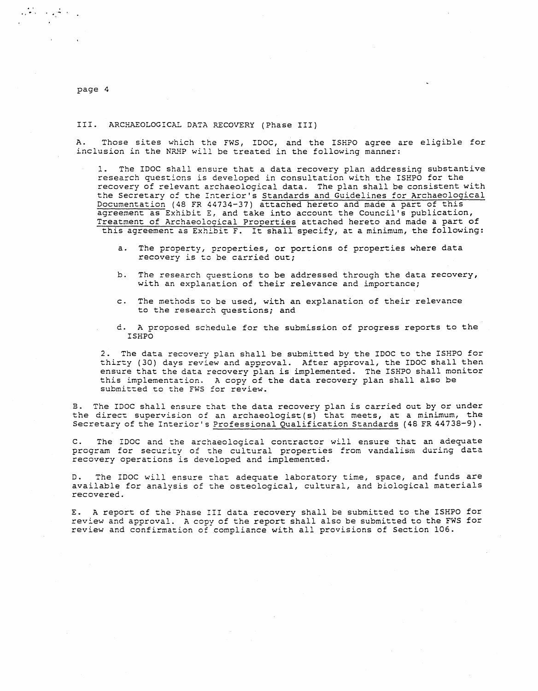$\frac{1}{2}\sum_{i=1}^{n-1}\frac{1}{2}\left(\frac{1}{2}\right)^{i}\left(\frac{1}{2}\right)^{i}\left(\frac{1}{2}\right)^{i}\left(\frac{1}{2}\right)^{i}\left(\frac{1}{2}\right)^{i}\left(\frac{1}{2}\right)^{i}\left(\frac{1}{2}\right)^{i}\left(\frac{1}{2}\right)^{i}\left(\frac{1}{2}\right)^{i}\left(\frac{1}{2}\right)^{i}\left(\frac{1}{2}\right)^{i}\left(\frac{1}{2}\right)^{i}\left(\frac{1}{2}\right)^{i}\left(\frac{1}{2}\right)^{i}\left(\frac{1}{2}\right)^{i}\left$ 

#### III. ARCHAEOLOGICAL DATA RECOVERY (Phase III)

A. Those sites which the FWS, IDOC, and the ISHPO agree are eligible for inclusion in the NRHP will be treated in the following manner:

1. The IDOC shall ensure that a data recovery plan addressing substantive research questions is developed in consultation with the ISHPO for the recovery of relevant archaeological data. The plan shall be consistent with the Secretary of the Interior's Standards and Guidelines for Archaeological Documentation (48 FR 44734-37) attached hereto and made a part of this agreement as Exhibit E, and take into account the Council's publication, Treatment of Archaeological Properties attached hereto and made a part of this agreement as Exhibit F. It shall specify, at a minimum, the following:

- a. The property, properties, or portions of properties where data recovery is to be carried out;
- b. The research questions to be addressed through the data recovery, with an explanation of their relevance and importance;
- c. The methods to be used, with an explanation of their relevance to the research questions; and
- d. A proposed schedule for the submission of progress reports to the ISHPO

2. The data recovery plan shall be submitted by the IDOC to the ISHPO for thirty (30) days review and approval. After approval, the IDOC shall then ensure that the data recovery plan is implemented. The ISHPO shall monitor this implementation. A copy of the data recovery plan shall also be submitted to the FWS for review.

B. The IDOC shall ensure that the data recovery plan is carried out by or under the direct supervision of an archaeologist (s) that meets, at a minimum, the Secretary of the Interior's Professional Qualification Standards (48 FR 44738-9).

C. The IDOC and the archaeological contractor will ensure that an adequate program for security of the cultural properties from vandalism during data recovery operations is developed and implemented.

The IDOC will ensure that adequate laboratory time, space, and funds are available for analysis of the osteological, cultural, and biological materials recovered.

E. A report of the Phase III data recovery shall be submitted to the ISHPO for review and approval. A copy of the report shall also be submitted to the FWS for review and confirmation of compliance with all provisions of Section 106.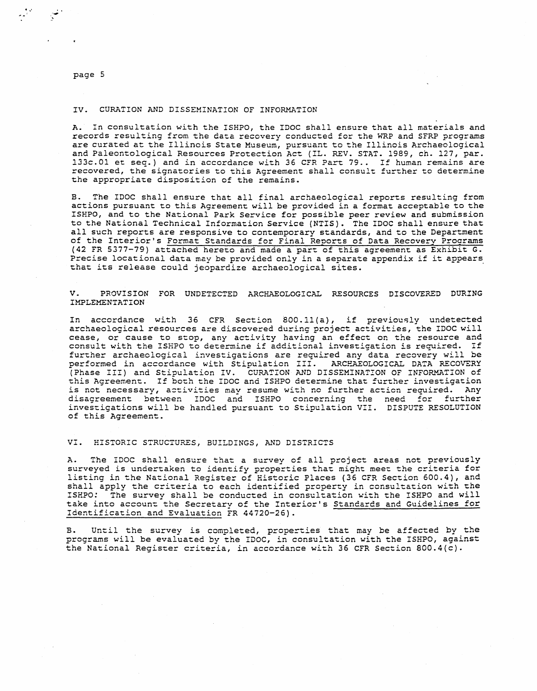$\cdot$  ,

## IV. CURATION AND DISSEMINATION OF INFORMATION

A. In consultation with the ISHPO, the IDOC shall ensure that all materials and records resulting from the data recovery conducted for the WRP and SFRP programs are curated at the Illinois State Museum, pursuant to the Illinois Archaeological and Paleontological Resources Protection Act (IL. REV. STAT. 1989, ch. 127, par. 133c.01 et seq.) and in accordance with 36 CFR Part 79 .. I£ human remains are recovered, the signatories to this Agreement shall consult further to determine the appropriate disposition of the remains.

B. The IDOC shall ensure that all final archaeological reports resulting from actions pursuant to this Agreement will be provided in a format acceptable to the ISEPO, and to the National Park Service for possible peer review and submission to the National Technical Information Service (NTIS). The IDOC shall ensure that all such reports are responsive to contemporary standards, and to the Department of the Interior's Format Standards for Final Reports of Data Recovery Programs (42 FR 5377-79) attached hereto and made a part of this agreement as Exhibit G. Precise locational data may be provided only in a separate appendix if it appears that its release could jeopardize archaeological sites.

V. PROVISION FOR UNDETECTED ARCHAEOLOGICAL RESOURCES DISCOVERED DURING **IMPLEMENTATION** 

In accordance with 36 CFR Section 800.ll(a), if previously undetected archaeological resources are discovered during project activities, the IDOC will cease, or cause to stop, any activity having an effect on the resource and cease, of cause to stop, any activity having an effect on the resource and<br>consult with the ISHPO to determine if additional investigation is required. If further archaeological investigations are required any data recovery will be ratemer aremaeorogical investigations are regarred any data recovery with see performed in accordance with Stipulation III. ARCHAEOLOGICAL DATA RECOVERY (Phase III) and Stipulation IV. CURATION AND DISSEMINATION OF INFORMATION of this Agreement. If both the IDOC and ISHPO determine that further investigation is not necessary, activities may resume with no further action required. Any disagreement between IDOC and ISHPO concerning the need for further investigations will be handled pursuant to Stipulation VII. DISPUTE RESOLUTION of this Agreement.

VI. HISTORIC STRUCTURES, BUILDINGS, AND DISTRICTS

A. The IDOC shall ensure that a survey of all project areas not previously In the 1500 Shart embare that a Sarvey or arr project areas mor previously listing in the National Register of Historic Places (36 CFR Section 600.4), and shall apply the criteria to each identified property in consultation with the ISHPO: The survey shall be conducted in consultation with the ISHPO and will take into account the Secretary of the Interior's Standards and Guidelines for Identification and Evaluation FR 44720-26).

Until the survey is completed, properties that may be affected by the programs will be evaluated by the IDOC, in consultation with the ISHPO, against the National Register criteria, in accordance with 36 CFR Section 800.4(c).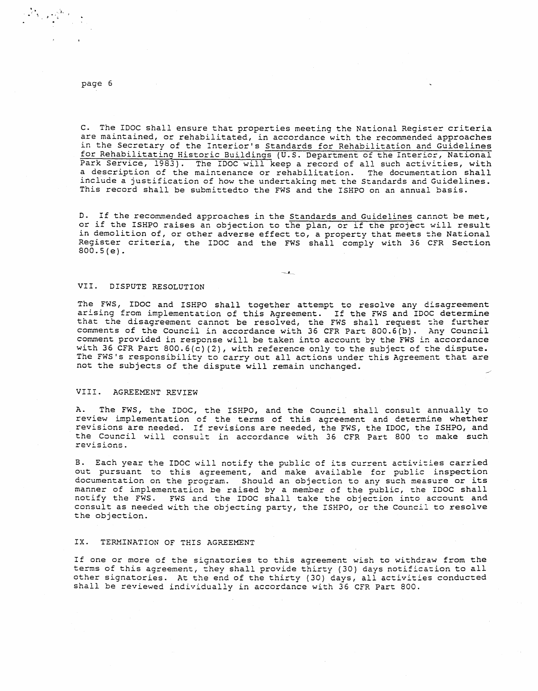$\label{eq:2} \frac{1}{2}\sum_{i=1}^{N} \sum_{\mathbf{k} \in \mathcal{K}} \frac{1}{\mathbf{1}} \sum_{\mathbf{k} \in \mathcal{K}} \mathbf{1}_{\mathbf{k} \in \mathcal{K}} \mathbf{1}_{\mathbf{k} \in \mathcal{K}}$ 

c. The IDOC shall ensure that properties meeting the National Register criteria are maintained, or rehabilitated, in accordance with the recommended approaches in the Secretary of the Interior's Standards for Rehabilitation and Guidelines for Rehabilitating Historic Buildings (U.S. Department of the Interior, National Park Service, 1983). The IDOC will keep a record of all such activities, with a description of the maintenance or rehabilitation. The documentation shall include a justification of how the undertaking met the Standards and Guidelines. This record shall be submittedto the FWS and the ISHPO on an annual basis.

D. If the recommended approaches in the Standards and Guidelines cannot be met, or if the ISHPO raises an objection to the plan, or if the project will result in demolition of, or other adverse effect to, a property that meets the National Register criteria, the IDOC and the FWS shall comply with 36 CFR Section 800.S(e).

 $-1$ 

## VII. DISPUTE RESOLUTION

The FWS, IDOC and ISHPO shall together attempt to resolve any disagreement arising from implementation of this Agreement. If the FWS and IDOC determine that the disagreement cannot be resolved, the FWS shall request the further comments of the Council in accordance with 36 CFR Part 800.6(b). Any Council comment provided in response will be taken into account by the FWS in accordance with 36 CFR Part 800.6(c)(2), with reference only to the subject of the dispute. The FWS's responsibility to carry out all actions under this Agreement that are not the subjects of the dispute will remain unchanged.

# VIII. AGREEMENT REVIEW

A. The FWS, the IDOC, the ISHPO, and the Council shall consult annually to review implementation of the terms of this agreement and determine whether revisions are needed. If revisions are needed, the FWS, the IDOC, the ISHPO, and the Council will consult in accordance with 36 CFR Part 800 to make such revisions.

B. Each year the IDOC will notify the public of its current activities carried out pursuant to this agreement, and make available for public inspection documentation on the program. Should an objection to any such measure or its manner of implementation be raised by a member of the public, the IDOC shall notify the FWS. FWS and the IDOC shall take the objection into account and consult as needed with the objecting party, the ISHPO, or the Council to resolve the objection.

## IX. TERMINATION OF THIS AGREEMENT

If one or more of the signatories to this agreement wish to withdraw from the terms of this agreement, they shall provide thirty (30) days notification to all other signatories. At the end of the thirty (30) days, all activities conducted shall be reviewed individually in accordance with 36 CFR Part 800.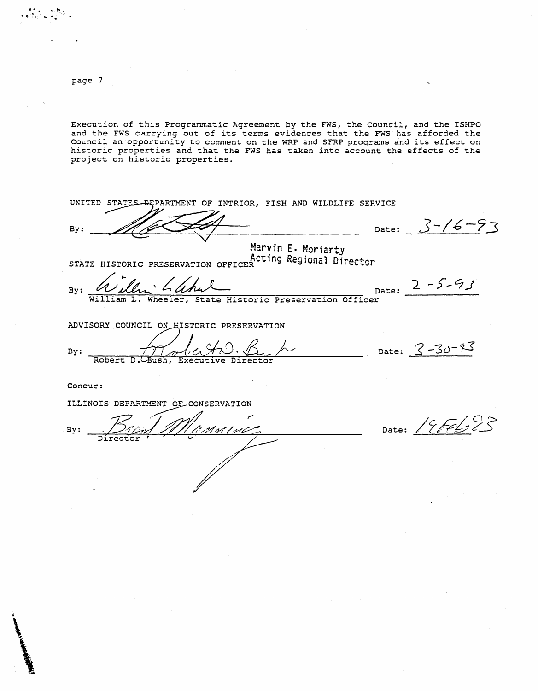$\bullet$   $\bullet$   $\stackrel{\bullet}{\bullet}$   $\stackrel{\bullet}{\bullet}$   $\stackrel{\bullet}{\bullet}$   $\stackrel{\bullet}{\bullet}$   $\stackrel{\bullet}{\bullet}$   $\stackrel{\bullet}{\bullet}$   $\stackrel{\bullet}{\bullet}$   $\stackrel{\bullet}{\bullet}$   $\stackrel{\bullet}{\bullet}$   $\stackrel{\bullet}{\bullet}$   $\stackrel{\bullet}{\bullet}$   $\stackrel{\bullet}{\bullet}$   $\stackrel{\bullet}{\bullet}$   $\stackrel{\bullet}{\bullet}$   $\stackrel{\bullet}{\bullet}$   $\stackrel{\bullet}{\bullet}$   $\stackrel{\bullet}{\bullet}$   $\stackrel{\bullet}{$ 

\

\

Execution of this Programmatic Agreement by the FWS, the Council, and the ISHPO and the FWS carrying out of its terms evidences that the FWS has afforded the Council an opportunity to comment on the WRP and SFRP programs and its effect on historic properties and that the FWS has taken into account the effects of the project on historic properties.

UNITED STATES BEPARTMENT OF INTRIOR, FISH AND WILDLIFE SERVICE Date: *3-/£-73* **By:**  Marvin E. Moriarty **Marvin E. STATE HISTORIC PRESERVATION OFFICER** *Acting Regional Director* Date:  $2 - 5 - 93$ · Lahal Will **By:**  William L. Wheeler, State Historic Preservation Officer ADVISORY COUNCIL ON **EISTORIC PRESERVATION** By:  $\frac{1}{\sqrt{1-\frac{1}{\sqrt{1-\frac{1}{\sqrt{1-\frac{1}{\sqrt{1-\frac{1}{\sqrt{1-\frac{1}{\sqrt{1-\frac{1}{\sqrt{1-\frac{1}{\sqrt{1-\frac{1}{\sqrt{1-\frac{1}{\sqrt{1-\frac{1}{\sqrt{1-\frac{1}{\sqrt{1-\frac{1}{\sqrt{1-\frac{1}{\sqrt{1-\frac{1}{\sqrt{1-\frac{1}{\sqrt{1-\frac{1}{\sqrt{1-\frac{1}{\sqrt{1-\frac{1}{\sqrt{1-\frac{1}{\sqrt{1-\frac{1}{\sqrt{1-\frac{1}{\sqrt{1-\frac{1}{\sqrt{1-\frac{1}{\sqrt{1$ Robert D. Concur: ILLINOIS DEPARTMENT OF CONSERVATION Date: 19FE693  $By:$